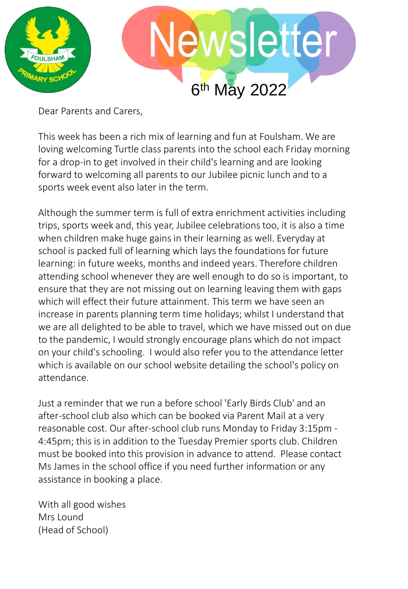

Dear Parents and Carers,

This week has been a rich mix of learning and fun at Foulsham. We are loving welcoming Turtle class parents into the school each Friday morning for a drop-in to get involved in their child's learning and are looking forward to welcoming all parents to our Jubilee picnic lunch and to a sports week event also later in the term.

Although the summer term is full of extra enrichment activities including trips, sports week and, this year, Jubilee celebrations too, it is also a time when children make huge gains in their learning as well. Everyday at school is packed full of learning which lays the foundations for future learning: in future weeks, months and indeed years. Therefore children attending school whenever they are well enough to do so is important, to ensure that they are not missing out on learning leaving them with gaps which will effect their future attainment. This term we have seen an increase in parents planning term time holidays; whilst I understand that we are all delighted to be able to travel, which we have missed out on due to the pandemic, I would strongly encourage plans which do not impact on your child's schooling. I would also refer you to the attendance letter which is available on our school website detailing the school's policy on attendance.

Just a reminder that we run a before school 'Early Birds Club' and an after-school club also which can be booked via Parent Mail at a very reasonable cost. Our after-school club runs Monday to Friday 3:15pm - 4:45pm; this is in addition to the Tuesday Premier sports club. Children must be booked into this provision in advance to attend. Please contact Ms James in the school office if you need further information or any assistance in booking a place.

With all good wishes Mrs Lound (Head of School)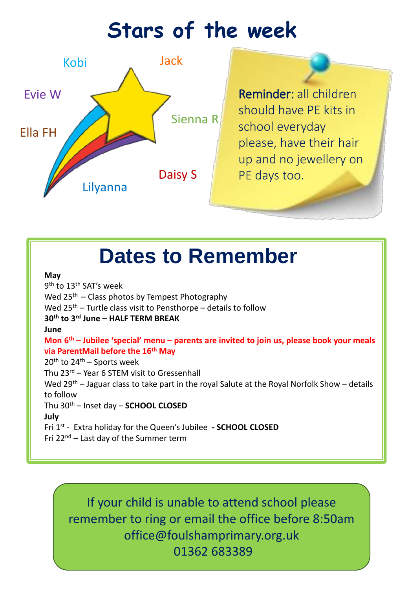## **Stars of the week**



should have PE kits in school everyday please, have their hair up and no jewellery on PE days too.

## **Dates to Remember**

## **May**

9<sup>th</sup> to 13<sup>th</sup> SAT's week Wed  $25<sup>th</sup>$  – Class photos by Tempest Photography Wed  $25<sup>th</sup>$  – Turtle class visit to Pensthorpe – details to follow **30th to 3rd June – HALF TERM BREAK June Mon 6 th – Jubilee 'special' menu – parents are invited to join us, please book your meals via ParentMail before the 16th May**  $20<sup>th</sup>$  to  $24<sup>th</sup>$  – Sports week Thu 23rd – Year 6 STEM visit to Gressenhall Wed 29<sup>th</sup> – Jaguar class to take part in the royal Salute at the Royal Norfolk Show – details to follow Thu 30th – Inset day – **SCHOOL CLOSED July** Fri 1st - Extra holiday for the Queen's Jubilee **- SCHOOL CLOSED** Fri  $22^{nd}$  – Last day of the Summer term

If your child is unable to attend school please remember to ring or email the office before 8:50am office@foulshamprimary.org.uk 01362 683389